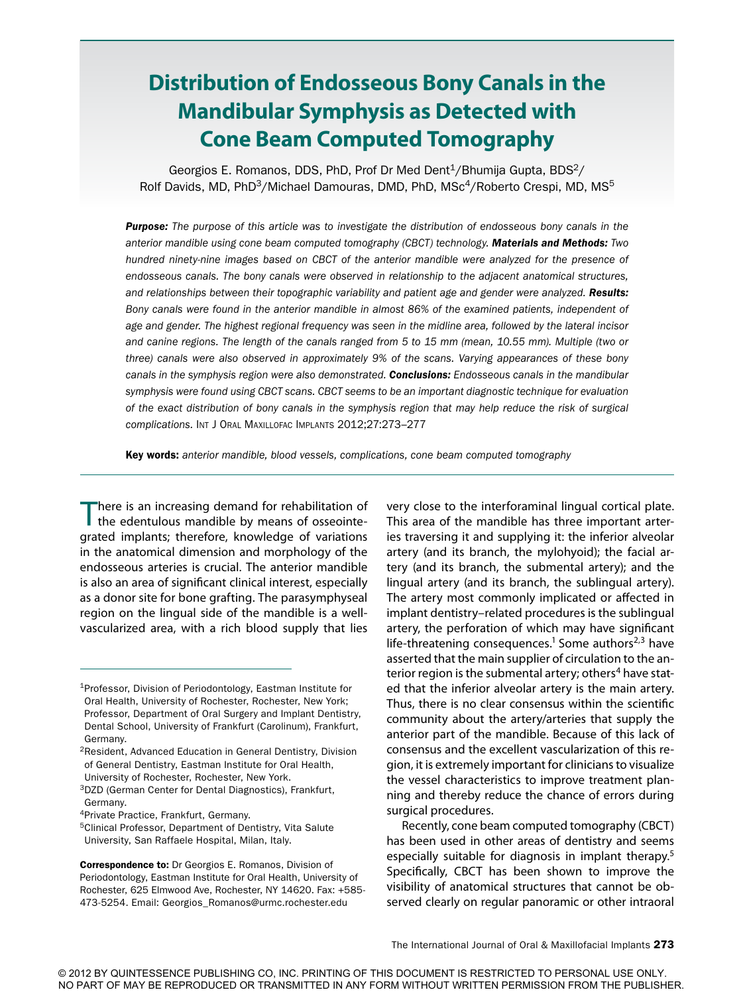# **Distribution of Endosseous Bony Canals in the Mandibular Symphysis as Detected with Cone Beam Computed Tomography**

Georgios E. Romanos, DDS, PhD, Prof Dr Med Dent $1/B$ humija Gupta, BDS $2/$ Rolf Davids, MD, PhD $3/M$ ichael Damouras, DMD, PhD, MSc $4/R$ oberto Crespi, MD, MS $5$ 

**Purpose:** The purpose of this article was to investigate the distribution of endosseous bony canals in the anterior mandible using cone beam computed tomography (CBCT) technology. Materials and Methods: Two hundred ninety-nine images based on CBCT of the anterior mandible were analyzed for the presence of endosseous canals. The bony canals were observed in relationship to the adjacent anatomical structures, and relationships between their topographic variability and patient age and gender were analyzed. Results: Bony canals were found in the anterior mandible in almost 86% of the examined patients, independent of age and gender. The highest regional frequency was seen in the midline area, followed by the lateral incisor and canine regions. The length of the canals ranged from 5 to 15 mm (mean, 10.55 mm). Multiple (two or three) canals were also observed in approximately 9% of the scans. Varying appearances of these bony canals in the symphysis region were also demonstrated. Conclusions: Endosseous canals in the mandibular symphysis were found using CBCT scans. CBCT seems to be an important diagnostic technique for evaluation of the exact distribution of bony canals in the symphysis region that may help reduce the risk of surgical complications. INT J ORAL MAXILLOFAC IMPLANTS 2012;27:273–277

Key words: anterior mandible, blood vessels, complications, cone beam computed tomography

There is an increasing demand for rehabilitation of the edentulous mandible by means of osseointegrated implants; therefore, knowledge of variations in the anatomical dimension and morphology of the endosseous arteries is crucial. The anterior mandible is also an area of significant clinical interest, especially as a donor site for bone grafting. The parasymphyseal region on the lingual side of the mandible is a wellvascularized area, with a rich blood supply that lies

very close to the interforaminal lingual cortical plate. This area of the mandible has three important arteries traversing it and supplying it: the inferior alveolar artery (and its branch, the mylohyoid); the facial artery (and its branch, the submental artery); and the lingual artery (and its branch, the sublingual artery). The artery most commonly implicated or affected in implant dentistry–related procedures is the sublingual artery, the perforation of which may have significant life-threatening consequences.<sup>1</sup> Some authors<sup>2,3</sup> have asserted that the main supplier of circulation to the anterior region is the submental artery; others<sup>4</sup> have stated that the inferior alveolar artery is the main artery. Thus, there is no clear consensus within the scientific community about the artery/arteries that supply the anterior part of the mandible. Because of this lack of consensus and the excellent vascularization of this region, it is extremely important for clinicians to visualize the vessel characteristics to improve treatment planning and thereby reduce the chance of errors during surgical procedures.

Recently, cone beam computed tomography (CBCT) has been used in other areas of dentistry and seems especially suitable for diagnosis in implant therapy.5 Specifically, CBCT has been shown to improve the visibility of anatomical structures that cannot be observed clearly on regular panoramic or other intraoral

<sup>1</sup>Professor, Division of Periodontology, Eastman Institute for Oral Health, University of Rochester, Rochester, New York; Professor, Department of Oral Surgery and Implant Dentistry, Dental School, University of Frankfurt (Carolinum), Frankfurt, Germany.

<sup>2</sup>Resident, Advanced Education in General Dentistry, Division of General Dentistry, Eastman Institute for Oral Health, University of Rochester, Rochester, New York.

<sup>3</sup>DZD (German Center for Dental Diagnostics), Frankfurt, Germany.

<sup>4</sup>Private Practice, Frankfurt, Germany.

<sup>5</sup>Clinical Professor, Department of Dentistry, Vita Salute University, San Raffaele Hospital, Milan, Italy.

Correspondence to: Dr Georgios E. Romanos, Division of Periodontology, Eastman Institute for Oral Health, University of Rochester, 625 Elmwood Ave, Rochester, NY 14620. Fax: +585- 473-5254. Email: Georgios\_Romanos@urmc.rochester.edu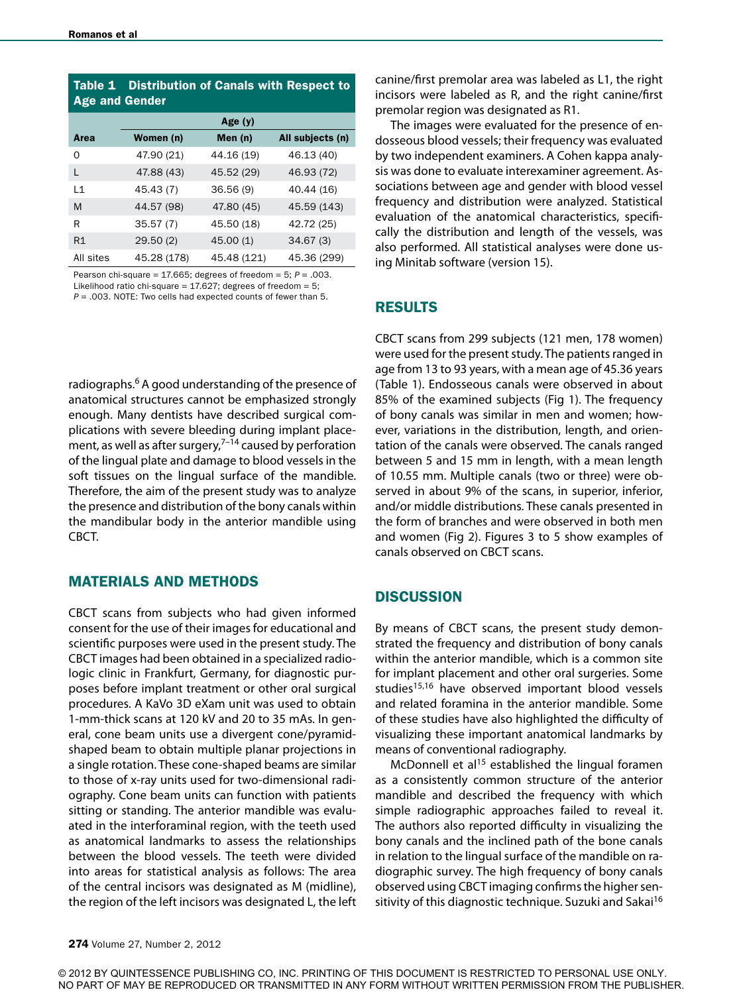| <b>Distribution of Canals with Respect to</b><br>Table 1<br><b>Age and Gender</b> |             |             |                  |
|-----------------------------------------------------------------------------------|-------------|-------------|------------------|
|                                                                                   | Age $(y)$   |             |                  |
| Area                                                                              | Women (n)   | Men (n)     | All subjects (n) |
| Ω                                                                                 | 47.90 (21)  | 44.16 (19)  | 46.13 (40)       |
| L                                                                                 | 47.88 (43)  | 45.52 (29)  | 46.93 (72)       |
| $\overline{11}$                                                                   | 45.43 (7)   | 36.56(9)    | 40.44 (16)       |
| M                                                                                 | 44.57 (98)  | 47.80 (45)  | 45.59 (143)      |
| R                                                                                 | 35.57(7)    | 45.50 (18)  | 42.72 (25)       |
| R1                                                                                | 29.50(2)    | 45.00(1)    | 34.67(3)         |
| All sites                                                                         | 45.28 (178) | 45.48 (121) | 45.36 (299)      |

Pearson chi-square = 17.665; degrees of freedom = 5;  $P = .003$ . Likelihood ratio chi-square =  $17.627$ ; degrees of freedom =  $5$ ;  $P = .003$ . NOTE: Two cells had expected counts of fewer than 5.

radiographs.<sup>6</sup> A good understanding of the presence of anatomical structures cannot be emphasized strongly enough. Many dentists have described surgical complications with severe bleeding during implant placement, as well as after surgery, $7-14$  caused by perforation of the lingual plate and damage to blood vessels in the soft tissues on the lingual surface of the mandible. Therefore, the aim of the present study was to analyze the presence and distribution of the bony canals within the mandibular body in the anterior mandible using CBCT.

# MATERIALS AND METHODS

CBCT scans from subjects who had given informed consent for the use of their images for educational and scientific purposes were used in the present study. The CBCT images had been obtained in a specialized radiologic clinic in Frankfurt, Germany, for diagnostic purposes before implant treatment or other oral surgical procedures. A KaVo 3D eXam unit was used to obtain 1-mm-thick scans at 120 kV and 20 to 35 mAs. In general, cone beam units use a divergent cone/pyramidshaped beam to obtain multiple planar projections in a single rotation. These cone-shaped beams are similar to those of x-ray units used for two-dimensional radiography. Cone beam units can function with patients sitting or standing. The anterior mandible was evaluated in the interforaminal region, with the teeth used as anatomical landmarks to assess the relationships between the blood vessels. The teeth were divided into areas for statistical analysis as follows: The area of the central incisors was designated as M (midline), the region of the left incisors was designated L, the left premolar region was designated as R1.

by two independent examiners. A Cohen kappa analysis was done to evaluate interexaminer agreement. Associations between age and gender with blood vessel frequency and distribution were analyzed. Statistical evaluation of the anatomical characteristics, specifically the distribution and length of the vessels, was also performed. All statistical analyses were done using Minitab software (version 15).

canine/first premolar area was labeled as L1, the right incisors were labeled as R, and the right canine/first

## RESULTS

CBCT scans from 299 subjects (121 men, 178 women) were used for the present study. The patients ranged in age from 13 to 93 years, with a mean age of 45.36 years (Table 1). Endosseous canals were observed in about 85% of the examined subjects (Fig 1). The frequency of bony canals was similar in men and women; however, variations in the distribution, length, and orientation of the canals were observed. The canals ranged between 5 and 15 mm in length, with a mean length of 10.55 mm. Multiple canals (two or three) were observed in about 9% of the scans, in superior, inferior, and/or middle distributions. These canals presented in the form of branches and were observed in both men and women (Fig 2). Figures 3 to 5 show examples of canals observed on CBCT scans.

#### **DISCUSSION**

By means of CBCT scans, the present study demonstrated the frequency and distribution of bony canals within the anterior mandible, which is a common site for implant placement and other oral surgeries. Some studies<sup>15,16</sup> have observed important blood vessels and related foramina in the anterior mandible. Some of these studies have also highlighted the difficulty of visualizing these important anatomical landmarks by means of conventional radiography.

McDonnell et  $al<sup>15</sup>$  established the lingual foramen as a consistently common structure of the anterior mandible and described the frequency with which simple radiographic approaches failed to reveal it. The authors also reported difficulty in visualizing the bony canals and the inclined path of the bone canals in relation to the lingual surface of the mandible on radiographic survey. The high frequency of bony canals observed using CBCT imaging confirms the higher sensitivity of this diagnostic technique. Suzuki and Sakai<sup>16</sup>

© 2012 BY QUINTESSENCE PUBLISHING CO, INC. PRINTING OF THIS DOCUMENT IS RESTRICTED TO PERSONAL USE ONLY. NO PART OF MAY BE REPRODUCED OR TRANSMITTED IN ANY FORM WITHOUT WRITTEN PERMISSION FROM THE PUBLISHER.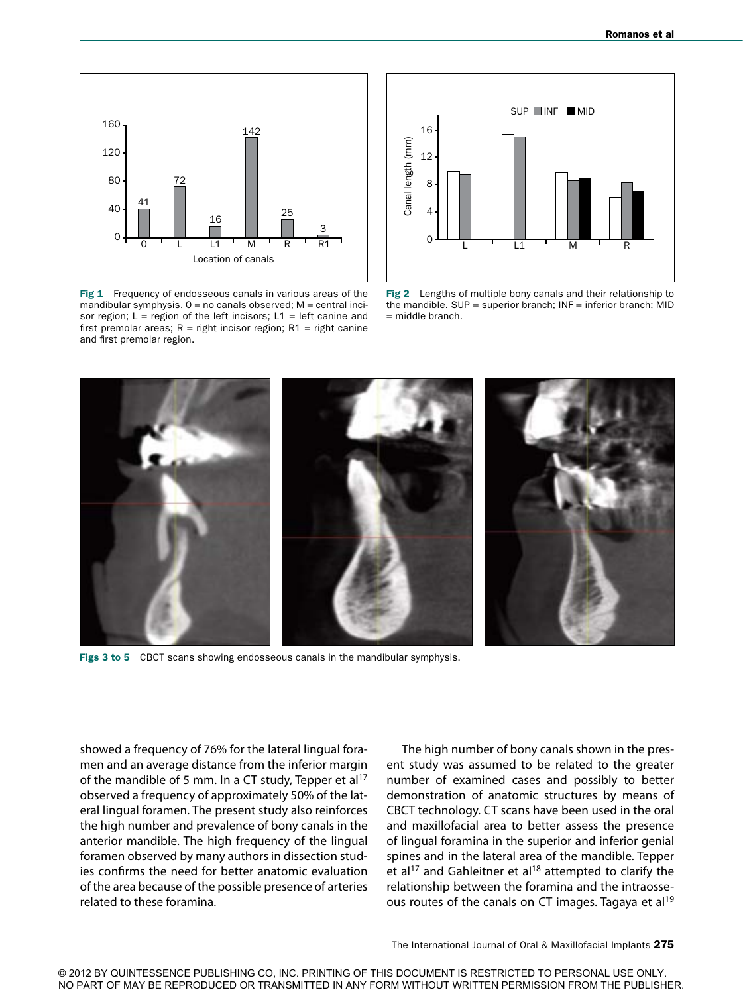

Fig 1 Frequency of endosseous canals in various areas of the mandibular symphysis.  $0 =$  no canals observed;  $M =$  central incisor region;  $L =$  region of the left incisors;  $L1 =$  left canine and first premolar areas;  $R =$  right incisor region;  $R1 =$  right canine and first premolar region.



Fig 2 Lengths of multiple bony canals and their relationship to the mandible. SUP = superior branch; INF = inferior branch; MID  $=$  middle branch.



Figs 3 to 5 CBCT scans showing endosseous canals in the mandibular symphysis.

showed a frequency of 76% for the lateral lingual foramen and an average distance from the inferior margin of the mandible of 5 mm. In a CT study, Tepper et al<sup>17</sup> observed a frequency of approximately 50% of the lateral lingual foramen. The present study also reinforces the high number and prevalence of bony canals in the anterior mandible. The high frequency of the lingual foramen observed by many authors in dissection studies confirms the need for better anatomic evaluation of the area because of the possible presence of arteries related to these foramina.

The high number of bony canals shown in the present study was assumed to be related to the greater number of examined cases and possibly to better demonstration of anatomic structures by means of CBCT technology. CT scans have been used in the oral and maxillofacial area to better assess the presence of lingual foramina in the superior and inferior genial spines and in the lateral area of the mandible. Tepper et al<sup>17</sup> and Gahleitner et al<sup>18</sup> attempted to clarify the relationship between the foramina and the intraosseous routes of the canals on CT images. Tagaya et al<sup>19</sup>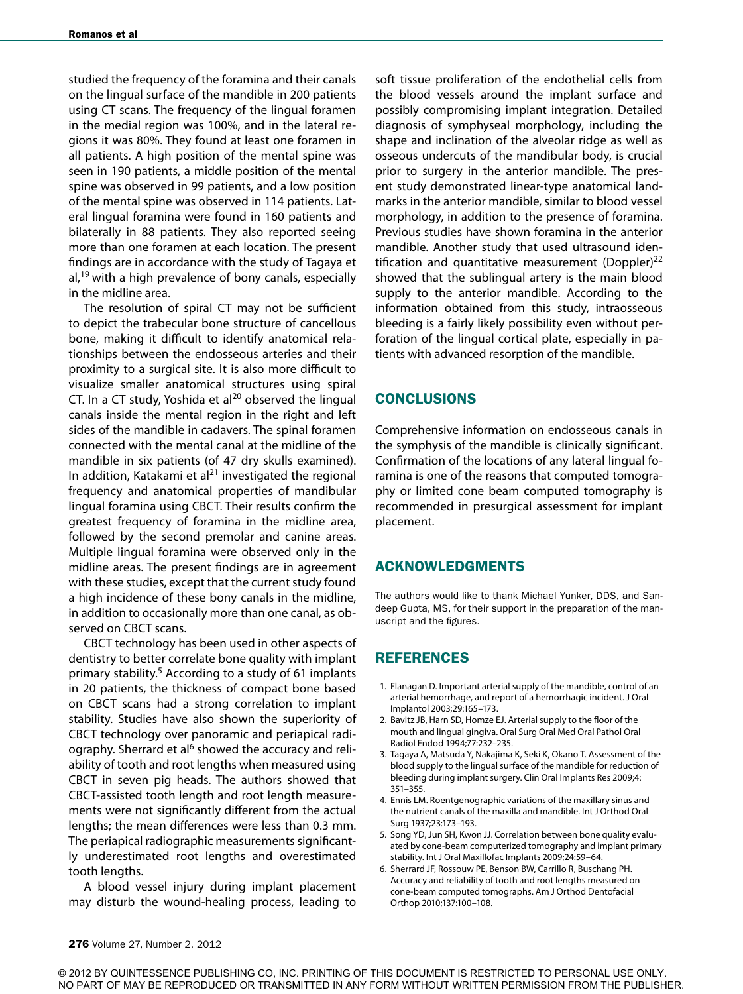studied the frequency of the foramina and their canals on the lingual surface of the mandible in 200 patients using CT scans. The frequency of the lingual foramen in the medial region was 100%, and in the lateral regions it was 80%. They found at least one foramen in all patients. A high position of the mental spine was seen in 190 patients, a middle position of the mental spine was observed in 99 patients, and a low position of the mental spine was observed in 114 patients. Lateral lingual foramina were found in 160 patients and bilaterally in 88 patients. They also reported seeing more than one foramen at each location. The present findings are in accordance with the study of Tagaya et al,<sup>19</sup> with a high prevalence of bony canals, especially in the midline area.

The resolution of spiral CT may not be sufficient to depict the trabecular bone structure of cancellous bone, making it difficult to identify anatomical relationships between the endosseous arteries and their proximity to a surgical site. It is also more difficult to visualize smaller anatomical structures using spiral CT. In a CT study, Yoshida et al $^{20}$  observed the lingual canals inside the mental region in the right and left sides of the mandible in cadavers. The spinal foramen connected with the mental canal at the midline of the mandible in six patients (of 47 dry skulls examined). In addition, Katakami et al<sup>21</sup> investigated the regional frequency and anatomical properties of mandibular lingual foramina using CBCT. Their results confirm the greatest frequency of foramina in the midline area, followed by the second premolar and canine areas. Multiple lingual foramina were observed only in the midline areas. The present findings are in agreement with these studies, except that the current study found a high incidence of these bony canals in the midline, in addition to occasionally more than one canal, as observed on CBCT scans.

CBCT technology has been used in other aspects of dentistry to better correlate bone quality with implant primary stability.5 According to a study of 61 implants in 20 patients, the thickness of compact bone based on CBCT scans had a strong correlation to implant stability. Studies have also shown the superiority of CBCT technology over panoramic and periapical radiography. Sherrard et al<sup>6</sup> showed the accuracy and reliability of tooth and root lengths when measured using CBCT in seven pig heads. The authors showed that CBCT-assisted tooth length and root length measurements were not significantly different from the actual lengths; the mean differences were less than 0.3 mm. The periapical radiographic measurements significantly underestimated root lengths and overestimated tooth lengths.

A blood vessel injury during implant placement may disturb the wound-healing process, leading to

soft tissue proliferation of the endothelial cells from the blood vessels around the implant surface and possibly compromising implant integration. Detailed diagnosis of symphyseal morphology, including the shape and inclination of the alveolar ridge as well as osseous undercuts of the mandibular body, is crucial prior to surgery in the anterior mandible. The present study demonstrated linear-type anatomical landmarks in the anterior mandible, similar to blood vessel morphology, in addition to the presence of foramina. Previous studies have shown foramina in the anterior mandible. Another study that used ultrasound identification and quantitative measurement (Doppler) $^{22}$ showed that the sublingual artery is the main blood supply to the anterior mandible. According to the information obtained from this study, intraosseous bleeding is a fairly likely possibility even without perforation of the lingual cortical plate, especially in patients with advanced resorption of the mandible.

## CONCLUSIONS

Comprehensive information on endosseous canals in the symphysis of the mandible is clinically significant. Confirmation of the locations of any lateral lingual foramina is one of the reasons that computed tomography or limited cone beam computed tomography is recommended in presurgical assessment for implant placement.

#### ACKNOWLEDGMENTS

The authors would like to thank Michael Yunker, DDS, and Sandeep Gupta, MS, for their support in the preparation of the manuscript and the figures.

# REFERENCES

- 1. Flanagan D. Important arterial supply of the mandible, control of an arterial hemorrhage, and report of a hemorrhagic incident. J Oral Implantol 2003;29:165–173.
- 2. Bavitz JB, Harn SD, Homze EJ. Arterial supply to the floor of the mouth and lingual gingiva. Oral Surg Oral Med Oral Pathol Oral Radiol Endod 1994;77:232–235.
- 3. Tagaya A, Matsuda Y, Nakajima K, Seki K, Okano T. Assessment of the blood supply to the lingual surface of the mandible for reduction of bleeding during implant surgery. Clin Oral Implants Res 2009;4: 351–355.
- 4. Ennis LM. Roentgenographic variations of the maxillary sinus and the nutrient canals of the maxilla and mandible. Int J Orthod Oral Surg 1937;23:173–193.
- 5. Song YD, Jun SH, Kwon JJ. Correlation between bone quality evaluated by cone-beam computerized tomography and implant primary stability. Int J Oral Maxillofac Implants 2009;24:59–64.
- 6. Sherrard JF, Rossouw PE, Benson BW, Carrillo R, Buschang PH. Accuracy and reliability of tooth and root lengths measured on cone-beam computed tomographs. Am J Orthod Dentofacial Orthop 2010;137:100–108.

© 2012 BY QUINTESSENCE PUBLISHING CO, INC. PRINTING OF THIS DOCUMENT IS RESTRICTED TO PERSONAL USE ONLY. NO PART OF MAY BE REPRODUCED OR TRANSMITTED IN ANY FORM WITHOUT WRITTEN PERMISSION FROM THE PUBLISHER.